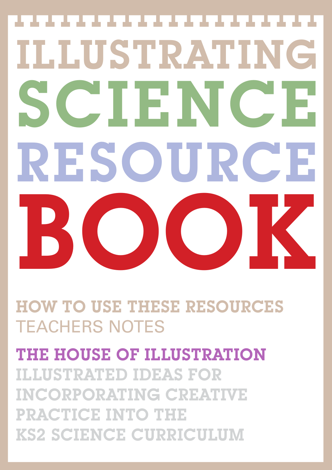# ILLUSTRATING SCIENCE RESOURCE BOOK

HOW TO USE THESE RESOURCES TEACHERS NOTES

THE HOUSE OF ILLUSTRATION ILLUSTRATED IDEAS FOR INCORPORATING CREATIVE PRACTICE INTO THE KS2 SCIENCE CURRICULUM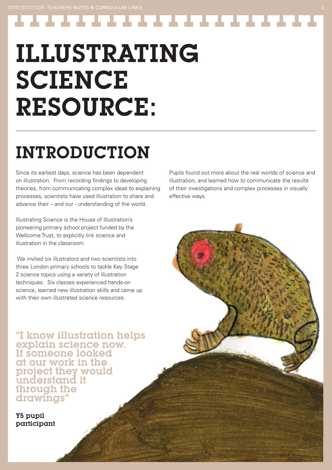ILLUSTRATING SCIENCE RESOURCE:

# INTRODUCTION

Since its earliest days, science has been dependent on illustration. From recording findings to developing theories, from communicating complex ideas to explaining processes, scientists have used illustration to share and advance their – and our - understanding of the world.

Illustrating Science is the House of Illustration's pioneering primary school project funded by the Wellcome Trust, to explicitly link science and illustration in the classroom.

We invited six illustrators and two scientists into three London primary schools to tackle Key Stage 2 science topics using a variety of illustration techniques. Six classes experienced hands-on science, learned new illustration skills and came up with their own illustrated science resources.

"I know illustration helps explain science now. If someone looked at our work in the project they would understand it through the drawings"

Y5 pupil participant Pupils found out more about the real worlds of science and illustration, and learned how to communicate the results of their investigations and complex processes in visually effective ways.

---------------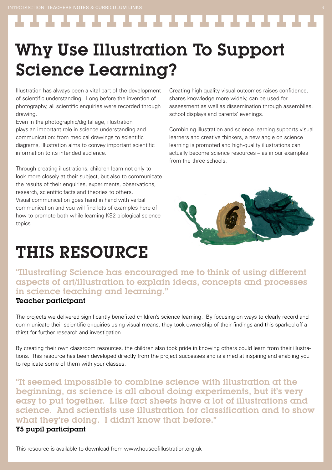Why Use Illustration To Support Science Learning?

Illustration has always been a vital part of the development of scientific understanding. Long before the invention of photography, all scientific enquiries were recorded through drawing.

Even in the photographic/digital age, illustration plays an important role in science understanding and communication: from medical drawings to scientific diagrams, illustration aims to convey important scientific information to its intended audience.

Through creating illustrations, children learn not only to look more closely at their subject, but also to communicate the results of their enquiries, experiments, observations, research, scientific facts and theories to others. Visual communication goes hand in hand with verbal communication and you will find lots of examples here of how to promote both while learning KS2 biological science topics.

### THIS RESOURCE

Creating high quality visual outcomes raises confidence, shares knowledge more widely, can be used for assessment as well as dissemination through assemblies, school displays and parents' evenings.

. . . . . . . . . . . . . . .

Combining illustration and science learning supports visual learners and creative thinkers, a new angle on science learning is promoted and high-quality illustrations can actually become science resources – as in our examples from the three schools.



"Illustrating Science has encouraged me to think of using different aspects of art/illustration to explain ideas, concepts and processes in science teaching and learning."

#### Teacher participant

The projects we delivered significantly benefited children's science learning. By focusing on ways to clearly record and communicate their scientific enquiries using visual means, they took ownership of their findings and this sparked off a thirst for further research and investigation.

By creating their own classroom resources, the children also took pride in knowing others could learn from their illustrations. This resource has been developed directly from the project successes and is aimed at inspiring and enabling you to replicate some of them with your classes.

"It seemed impossible to combine science with illustration at the beginning, as science is all about doing experiments, but it's very easy to put together. Like fact sheets have a lot of illustrations and science. And scientists use illustration for classification and to show what they're doing. I didn't know that before."

#### Y5 pupil participant

This resource is available to download from www.houseofillustration.org.uk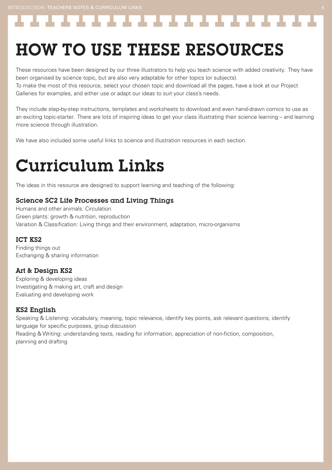-------------------

## HOW TO USE THESE RESOURCES

These resources have been designed by our three illustrators to help you teach science with added creativity. They have been organised by science topic, but are also very adaptable for other topics (or subjects).

To make the most of this resource, select your chosen topic and download all the pages, have a look at our Project Galleries for examples, and either use or adapt our ideas to suit your class's needs.

They include step-by-step instructions, templates and worksheets to download and even hand-drawn comics to use as an exciting topic-starter. There are lots of inspiring ideas to get your class illustrating their science learning – and learning more science through illustration.

We have also included some useful links to science and illustration resources in each section.

### Curriculum Links

The ideas in this resource are designed to support learning and teaching of the following:

#### Science SC2 Life Processes and Living Things

Humans and other animals: Circulation Green plants: growth & nutrition, reproduction Variation & Classification: Living things and their environment, adaptation, micro-organisms

#### ICT KS2

Finding things out Exchanging & sharing information

#### Art & Design KS2

Exploring & developing ideas Investigating & making art, craft and design Evaluating and developing work

#### KS2 English

Speaking & Listening: vocabulary, meaning, topic relevance, identify key points, ask relevant questions, identify language for specific purposes, group discussion Reading & Writing: understanding texts, reading for information, appreciation of non-fiction, composition, planning and drafting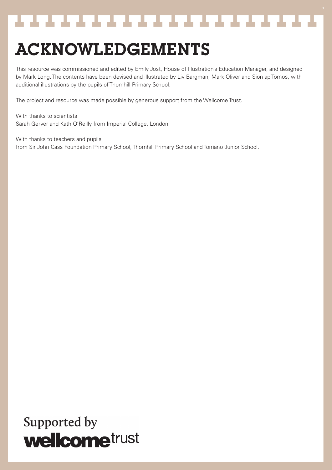### \_\_\_\_\_\_\_\_\_\_\_\_\_\_\_\_\_\_\_\_\_\_\_\_\_\_

### ACKNOWLEDGEMENTS

This resource was commissioned and edited by Emily Jost, House of Illustration's Education Manager, and designed by Mark Long. The contents have been devised and illustrated by Liv Bargman, Mark Oliver and Sion ap Tomos, with additional illustrations by the pupils of Thornhill Primary School.

The project and resource was made possible by generous support from the Wellcome Trust.

With thanks to scientists Sarah Gerver and Kath O'Reilly from Imperial College, London.

With thanks to teachers and pupils from Sir John Cass Foundation Primary School, Thornhill Primary School and Torriano Junior School.

### Supported by **wellcome**trust